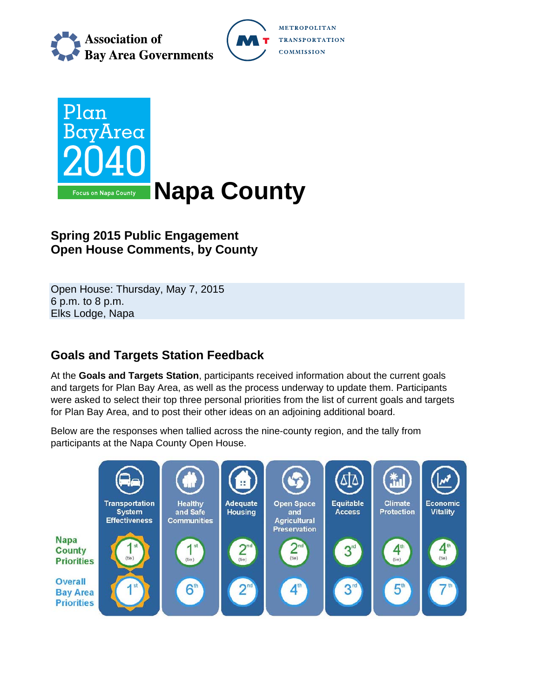





## **Spring 2015 Public Engagement Open House Comments, by County**

Open House: Thursday, May 7, 2015 6 p.m. to 8 p.m. Elks Lodge, Napa

# **Goals and Targets Station Feedback**

At the **Goals and Targets Station**, participants received information about the current goals and targets for Plan Bay Area, as well as the process underway to update them. Participants were asked to select their top three personal priorities from the list of current goals and targets for Plan Bay Area, and to post their other ideas on an adjoining additional board.

Below are the responses when tallied across the nine-county region, and the tally from participants at the Napa County Open House.

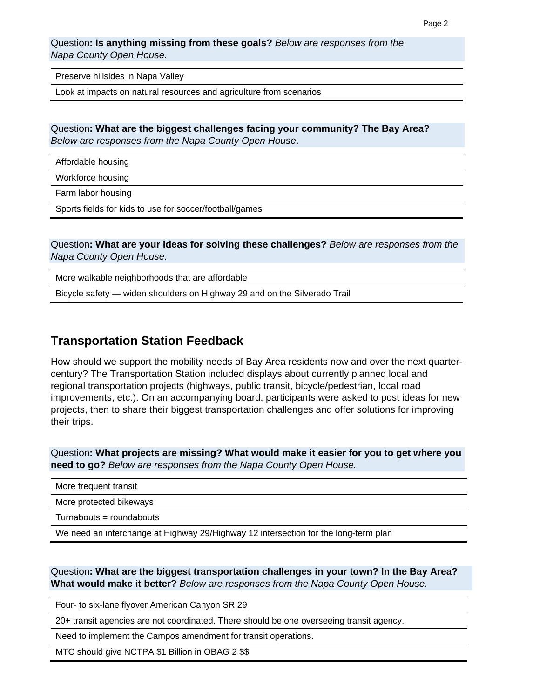Question**: Is anything missing from these goals?** *Below are responses from the Napa County Open House.* 

Preserve hillsides in Napa Valley

Look at impacts on natural resources and agriculture from scenarios

Question**: What are the biggest challenges facing your community? The Bay Area?**  *Below are responses from the Napa County Open House*.

Affordable housing

Workforce housing

Farm labor housing

Sports fields for kids to use for soccer/football/games

Question**: What are your ideas for solving these challenges?** *Below are responses from the Napa County Open House.* 

More walkable neighborhoods that are affordable

Bicycle safety — widen shoulders on Highway 29 and on the Silverado Trail

#### **Transportation Station Feedback**

How should we support the mobility needs of Bay Area residents now and over the next quartercentury? The Transportation Station included displays about currently planned local and regional transportation projects (highways, public transit, bicycle/pedestrian, local road improvements, etc.). On an accompanying board, participants were asked to post ideas for new projects, then to share their biggest transportation challenges and offer solutions for improving their trips.

Question**: What projects are missing? What would make it easier for you to get where you need to go?** *Below are responses from the Napa County Open House.*

| More frequent transit                                                               |
|-------------------------------------------------------------------------------------|
| More protected bikeways                                                             |
| Turnabouts = roundabouts                                                            |
| We need an interchange at Highway 29/Highway 12 intersection for the long-term plan |

Question**: What are the biggest transportation challenges in your town? In the Bay Area? What would make it better?** *Below are responses from the Napa County Open House.* 

Four- to six-lane flyover American Canyon SR 29

20+ transit agencies are not coordinated. There should be one overseeing transit agency.

Need to implement the Campos amendment for transit operations.

MTC should give NCTPA \$1 Billion in OBAG 2 \$\$